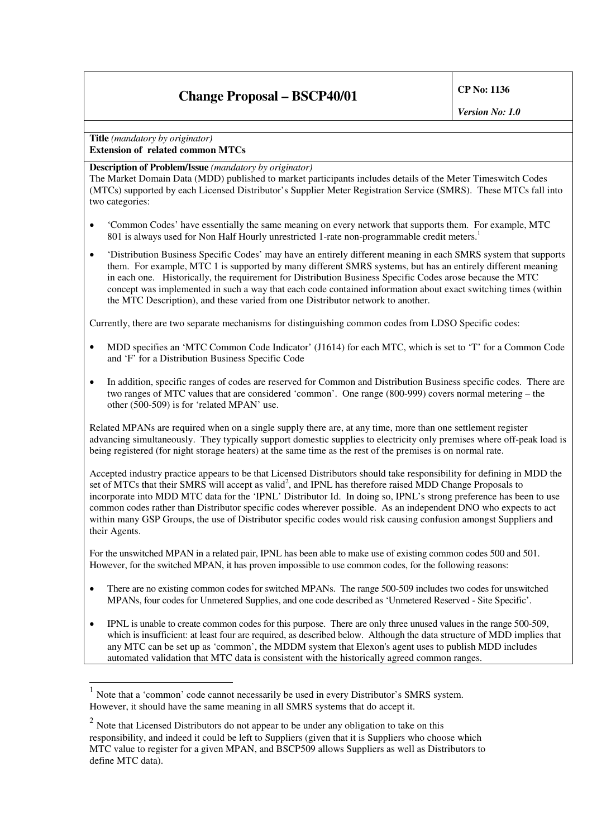# **Change Proposal – BSCP40/01 CP No: <sup>1136</sup>**

*Version No: 1.0*

**Title** *(mandatory by originator)* **Extension of related common MTCs**

#### **Description of Problem/Issue** *(mandatory by originator)*

The Market Domain Data (MDD) published to market participants includes details of the Meter Timeswitch Codes (MTCs) supported by each Licensed Distributor's Supplier Meter Registration Service (SMRS). These MTCs fall into two categories:

- 'Common Codes' have essentially the same meaning on every network that supports them. For example, MTC 801 is always used for Non Half Hourly unrestricted 1-rate non-programmable credit meters.<sup>1</sup>
- 'Distribution Business Specific Codes' may have an entirely different meaning in each SMRS system that supports them. For example, MTC 1 is supported by many different SMRS systems, but has an entirely different meaning in each one. Historically, the requirement for Distribution Business Specific Codes arose because the MTC concept was implemented in such a way that each code contained information about exact switching times (within the MTC Description), and these varied from one Distributor network to another.

Currently, there are two separate mechanisms for distinguishing common codes from LDSO Specific codes:

- MDD specifies an 'MTC Common Code Indicator' (J1614) for each MTC, which is set to 'T' for a Common Code and 'F' for a Distribution Business Specific Code
- In addition, specific ranges of codes are reserved for Common and Distribution Business specific codes. There are two ranges of MTC values that are considered 'common'. One range (800-999) covers normal metering – the other (500-509) is for 'related MPAN' use.

Related MPANs are required when on a single supply there are, at any time, more than one settlement register advancing simultaneously. They typically support domestic supplies to electricity only premises where off-peak load is being registered (for night storage heaters) at the same time as the rest of the premises is on normal rate.

Accepted industry practice appears to be that Licensed Distributors should take responsibility for defining in MDD the set of MTCs that their SMRS will accept as valid<sup>2</sup>, and IPNL has therefore raised MDD Change Proposals to incorporate into MDD MTC data for the 'IPNL' Distributor Id. In doing so, IPNL's strong preference has been to use common codes rather than Distributor specific codes wherever possible. As an independent DNO who expects to act within many GSP Groups, the use of Distributor specific codes would risk causing confusion amongst Suppliers and their Agents.

For the unswitched MPAN in a related pair, IPNL has been able to make use of existing common codes 500 and 501. However, for the switched MPAN, it has proven impossible to use common codes, for the following reasons:

- There are no existing common codes for switched MPANs. The range 500-509 includes two codes for unswitched MPANs, four codes for Unmetered Supplies, and one code described as 'Unmetered Reserved - Site Specific'.
- IPNL is unable to create common codes for this purpose. There are only three unused values in the range 500-509, which is insufficient: at least four are required, as described below. Although the data structure of MDD implies that any MTC can be set up as 'common', the MDDM system that Elexon's agent uses to publish MDD includes automated validation that MTC data is consistent with the historically agreed common ranges.

 $<sup>1</sup>$  Note that a 'common' code cannot necessarily be used in every Distributor's SMRS system.</sup> However, it should have the same meaning in all SMRS systems that do accept it.

 $2$  Note that Licensed Distributors do not appear to be under any obligation to take on this responsibility, and indeed it could be left to Suppliers (given that it is Suppliers who choose which MTC value to register for a given MPAN, and BSCP509 allows Suppliers as well as Distributors to define MTC data).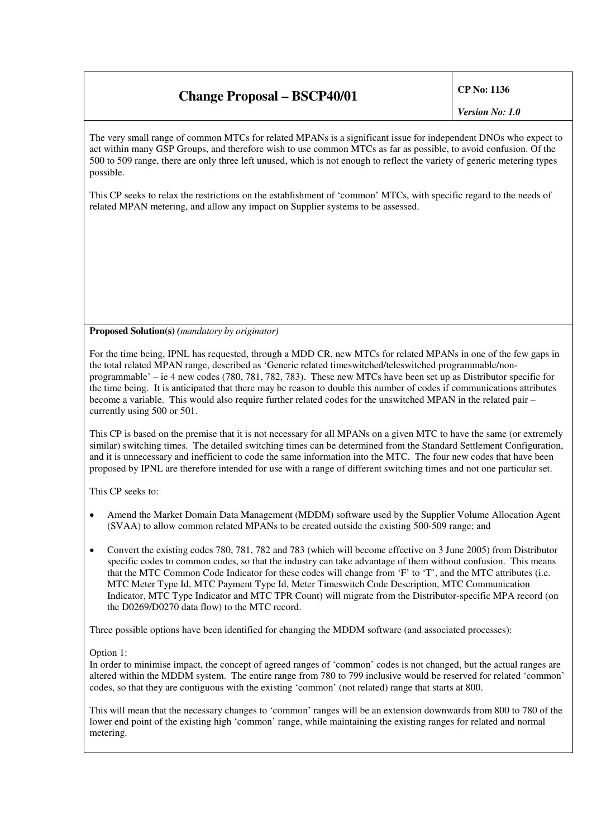### **Change Proposal – BSCP40/01 CP No: <sup>1136</sup>**

*Version No: 1.0*

The very small range of common MTCs for related MPANs is a significant issue for independent DNOs who expect to act within many GSP Groups, and therefore wish to use common MTCs as far as possible, to avoid confusion. Of the 500 to 509 range, there are only three left unused, which is not enough to reflect the variety of generic metering types possible.

This CP seeks to relax the restrictions on the establishment of 'common' MTCs, with specific regard to the needs of related MPAN metering, and allow any impact on Supplier systems to be assessed.

**Proposed Solution(s)** *(mandatory by originator)*

For the time being, IPNL has requested, through a MDD CR, new MTCs for related MPANs in one of the few gaps in the total related MPAN range, described as 'Generic related timeswitched/teleswitched programmable/nonprogrammable' – ie 4 new codes (780, 781, 782, 783). These new MTCs have been set up as Distributor specific for the time being. It is anticipated that there may be reason to double this number of codes if communications attributes become a variable. This would also require further related codes for the unswitched MPAN in the related pair – currently using 500 or 501.

This CP is based on the premise that it is not necessary for all MPANs on a given MTC to have the same (or extremely similar) switching times. The detailed switching times can be determined from the Standard Settlement Configuration, and it is unnecessary and inefficient to code the same information into the MTC. The four new codes that have been proposed by IPNL are therefore intended for use with a range of different switching times and not one particular set.

This CP seeks to:

- Amend the Market Domain Data Management (MDDM) software used by the Supplier Volume Allocation Agent (SVAA) to allow common related MPANs to be created outside the existing 500-509 range; and
- Convert the existing codes 780, 781, 782 and 783 (which will become effective on 3 June 2005) from Distributor specific codes to common codes, so that the industry can take advantage of them without confusion. This means that the MTC Common Code Indicator for these codes will change from 'F' to 'T', and the MTC attributes (i.e. MTC Meter Type Id, MTC Payment Type Id, Meter Timeswitch Code Description, MTC Communication Indicator, MTC Type Indicator and MTC TPR Count) will migrate from the Distributor-specific MPA record (on the D0269/D0270 data flow) to the MTC record.

Three possible options have been identified for changing the MDDM software (and associated processes):

Option 1:

In order to minimise impact, the concept of agreed ranges of 'common' codes is not changed, but the actual ranges are altered within the MDDM system. The entire range from 780 to 799 inclusive would be reserved for related 'common' codes, so that they are contiguous with the existing 'common' (not related) range that starts at 800.

This will mean that the necessary changes to 'common' ranges will be an extension downwards from 800 to 780 of the lower end point of the existing high 'common' range, while maintaining the existing ranges for related and normal metering.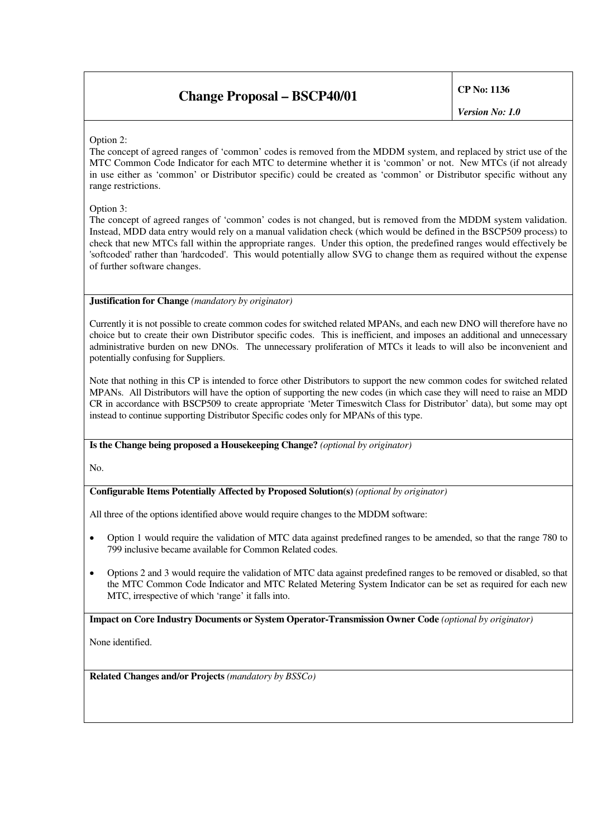## **Change Proposal – BSCP40/01 CP No: <sup>1136</sup>**

*Version No: 1.0*

### Option 2:

The concept of agreed ranges of 'common' codes is removed from the MDDM system, and replaced by strict use of the MTC Common Code Indicator for each MTC to determine whether it is 'common' or not. New MTCs (if not already in use either as 'common' or Distributor specific) could be created as 'common' or Distributor specific without any range restrictions.

Option 3:

The concept of agreed ranges of 'common' codes is not changed, but is removed from the MDDM system validation. Instead, MDD data entry would rely on a manual validation check (which would be defined in the BSCP509 process) to check that new MTCs fall within the appropriate ranges. Under this option, the predefined ranges would effectively be 'softcoded' rather than 'hardcoded'. This would potentially allow SVG to change them as required without the expense of further software changes.

#### **Justification for Change** *(mandatory by originator)*

Currently it is not possible to create common codes for switched related MPANs, and each new DNO will therefore have no choice but to create their own Distributor specific codes. This is inefficient, and imposes an additional and unnecessary administrative burden on new DNOs. The unnecessary proliferation of MTCs it leads to will also be inconvenient and potentially confusing for Suppliers.

Note that nothing in this CP is intended to force other Distributors to support the new common codes for switched related MPANs. All Distributors will have the option of supporting the new codes (in which case they will need to raise an MDD CR in accordance with BSCP509 to create appropriate 'Meter Timeswitch Class for Distributor' data), but some may opt instead to continue supporting Distributor Specific codes only for MPANs of this type.

**Is the Change being proposed a Housekeeping Change?** *(optional by originator)*

No.

### **Configurable Items Potentially Affected by Proposed Solution(s)** *(optional by originator)*

All three of the options identified above would require changes to the MDDM software:

- Option 1 would require the validation of MTC data against predefined ranges to be amended, so that the range 780 to 799 inclusive became available for Common Related codes.
- Options 2 and 3 would require the validation of MTC data against predefined ranges to be removed or disabled, so that the MTC Common Code Indicator and MTC Related Metering System Indicator can be set as required for each new MTC, irrespective of which 'range' it falls into.

**Impact on Core Industry Documents or System Operator-Transmission Owner Code** *(optional by originator)*

None identified.

**Related Changes and/or Projects** *(mandatory by BSSCo)*